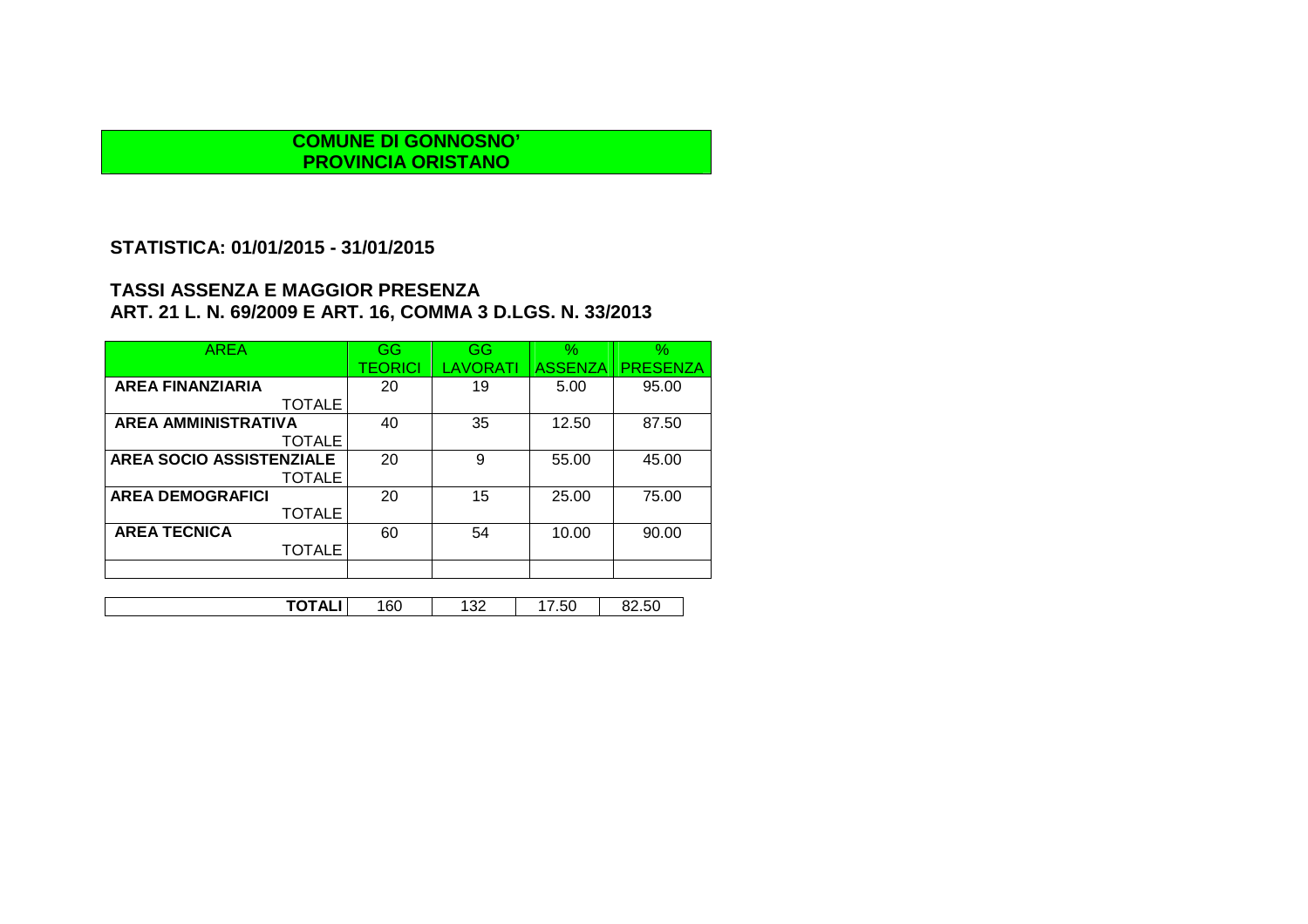### **STATISTICA: 01/01/2015 - 31/01/2015**

| <b>AREA</b>                     | GG      | GG              | $\%$           | $\%$            |
|---------------------------------|---------|-----------------|----------------|-----------------|
|                                 | TEORICI | <b>LAVORATI</b> | <b>ASSENZA</b> | <b>PRESENZA</b> |
| <b>AREA FINANZIARIA</b>         | 20      | 19              | 5.00           | 95.00           |
| <b>TOTALE</b>                   |         |                 |                |                 |
| <b>AREA AMMINISTRATIVA</b>      | 40      | 35              | 12.50          | 87.50           |
| <b>TOTALE</b>                   |         |                 |                |                 |
| <b>AREA SOCIO ASSISTENZIALE</b> | 20      | 9               | 55.00          | 45.00           |
| <b>TOTALE</b>                   |         |                 |                |                 |
| <b>AREA DEMOGRAFICI</b>         | 20      | 15              | 25.00          | 75.00           |
| <b>TOTALE</b>                   |         |                 |                |                 |
| <b>AREA TECNICA</b>             | 60      | 54              | 10.00          | 90.00           |
| <b>TOTALE</b>                   |         |                 |                |                 |
|                                 |         |                 |                |                 |
|                                 |         |                 |                |                 |
| TOTALI                          | 160     | 132             | 17.50          | 82.50           |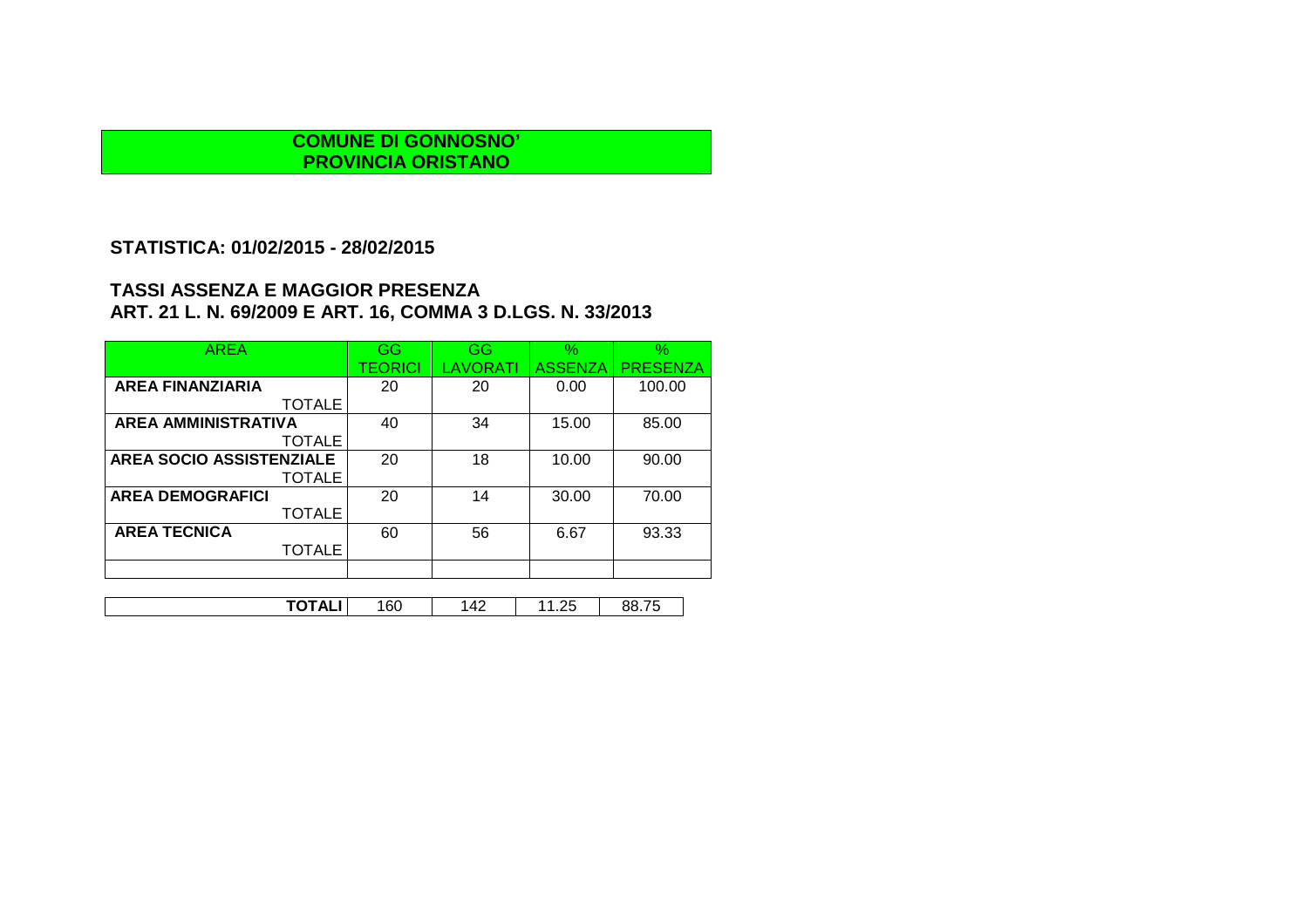### **STATISTICA: 01/02/2015 - 28/02/2015**

| <b>AREA</b>                     | <b>GG</b>      | GG              | $\%$           | $\%$            |
|---------------------------------|----------------|-----------------|----------------|-----------------|
|                                 | <b>TEORICI</b> | <b>LAVORATI</b> | <b>ASSENZA</b> | <b>PRESENZA</b> |
| <b>AREA FINANZIARIA</b>         | 20             | 20              | 0.00           | 100.00          |
| <b>TOTALE</b>                   |                |                 |                |                 |
| <b>AREA AMMINISTRATIVA</b>      | 40             | 34              | 15.00          | 85.00           |
| <b>TOTALE</b>                   |                |                 |                |                 |
| <b>AREA SOCIO ASSISTENZIALE</b> | 20             | 18              | 10.00          | 90.00           |
| <b>TOTALE</b>                   |                |                 |                |                 |
| <b>AREA DEMOGRAFICI</b>         | 20             | 14              | 30.00          | 70.00           |
| <b>TOTALE</b>                   |                |                 |                |                 |
| <b>AREA TECNICA</b>             | 60             | 56              | 6.67           | 93.33           |
| <b>TOTALE</b>                   |                |                 |                |                 |
|                                 |                |                 |                |                 |
|                                 |                |                 |                |                 |
| TOTALI                          | 160            | 142             | 11.25          | 88.75           |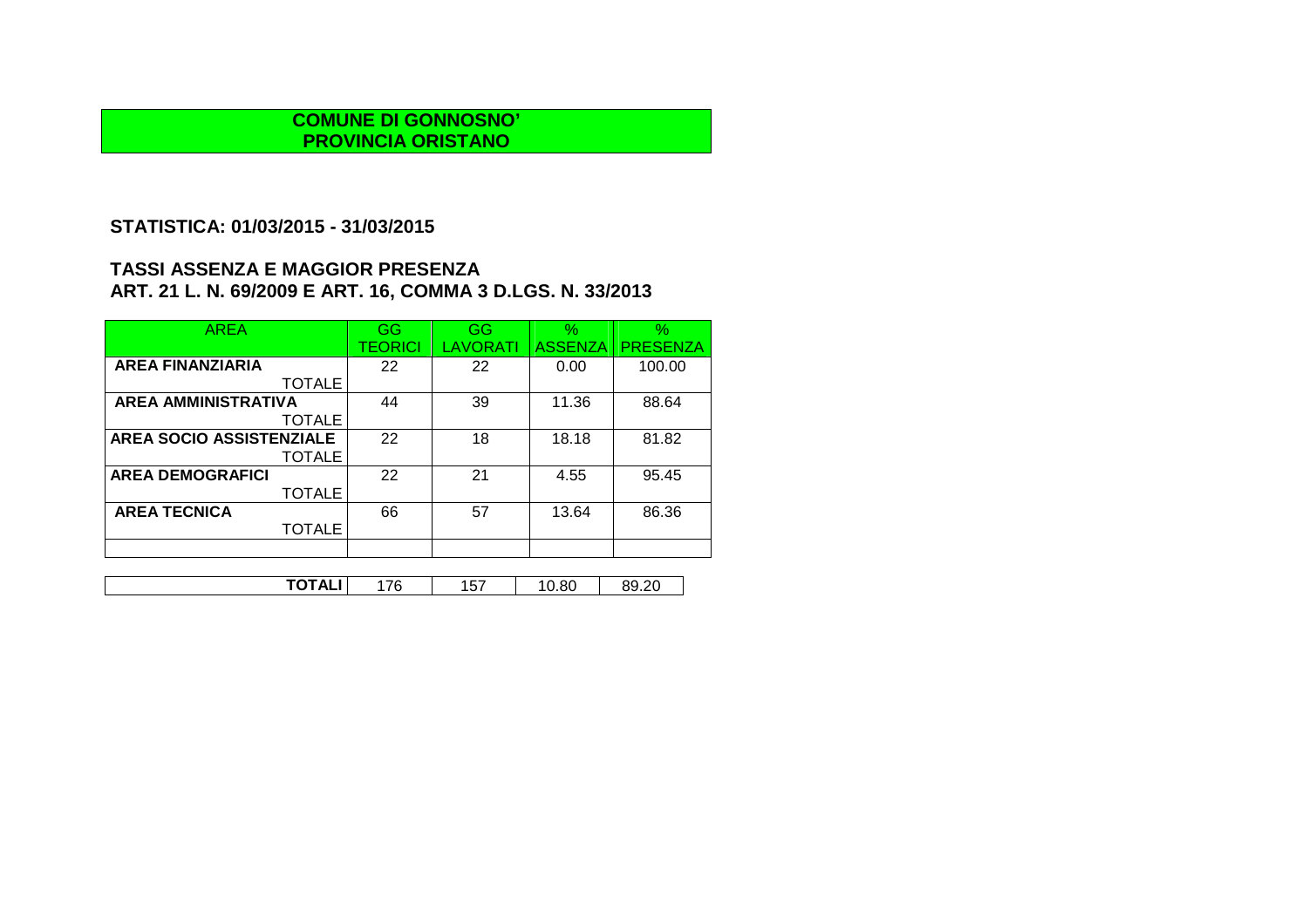# **STATISTICA: 01/03/2015 - 31/03/2015**

| AREA                       | GG             | GG       | $\%$           | $\%$            |
|----------------------------|----------------|----------|----------------|-----------------|
|                            | <b>TEORICI</b> | LAVORATI | <b>ASSENZA</b> | <b>PRESENZA</b> |
| <b>AREA FINANZIARIA</b>    | 22             | 22       | 0.00           | 100.00          |
| <b>TOTALE</b>              |                |          |                |                 |
| <b>AREA AMMINISTRATIVA</b> | 44             | 39       | 11.36          | 88.64           |
| <b>TOTALE</b>              |                |          |                |                 |
| AREA SOCIO ASSISTENZIALE   | 22             | 18       | 18.18          | 81.82           |
| <b>TOTALE</b>              |                |          |                |                 |
| <b>AREA DEMOGRAFICI</b>    | 22             | 21       | 4.55           | 95.45           |
| <b>TOTALE</b>              |                |          |                |                 |
| <b>AREA TECNICA</b>        | 66             | 57       | 13.64          | 86.36           |
| <b>TOTALE</b>              |                |          |                |                 |
|                            |                |          |                |                 |

| - - - -<br>$ -$<br>$\sim$<br>⇁<br>$\cdot$ . The set of $\overline{\phantom{a}}$<br>า ๆ<br>^'<br>้ เ<br>J.OU<br><u>ູ</u><br>.<br>л.<br>. .<br>.<br>. . |
|-------------------------------------------------------------------------------------------------------------------------------------------------------|
|-------------------------------------------------------------------------------------------------------------------------------------------------------|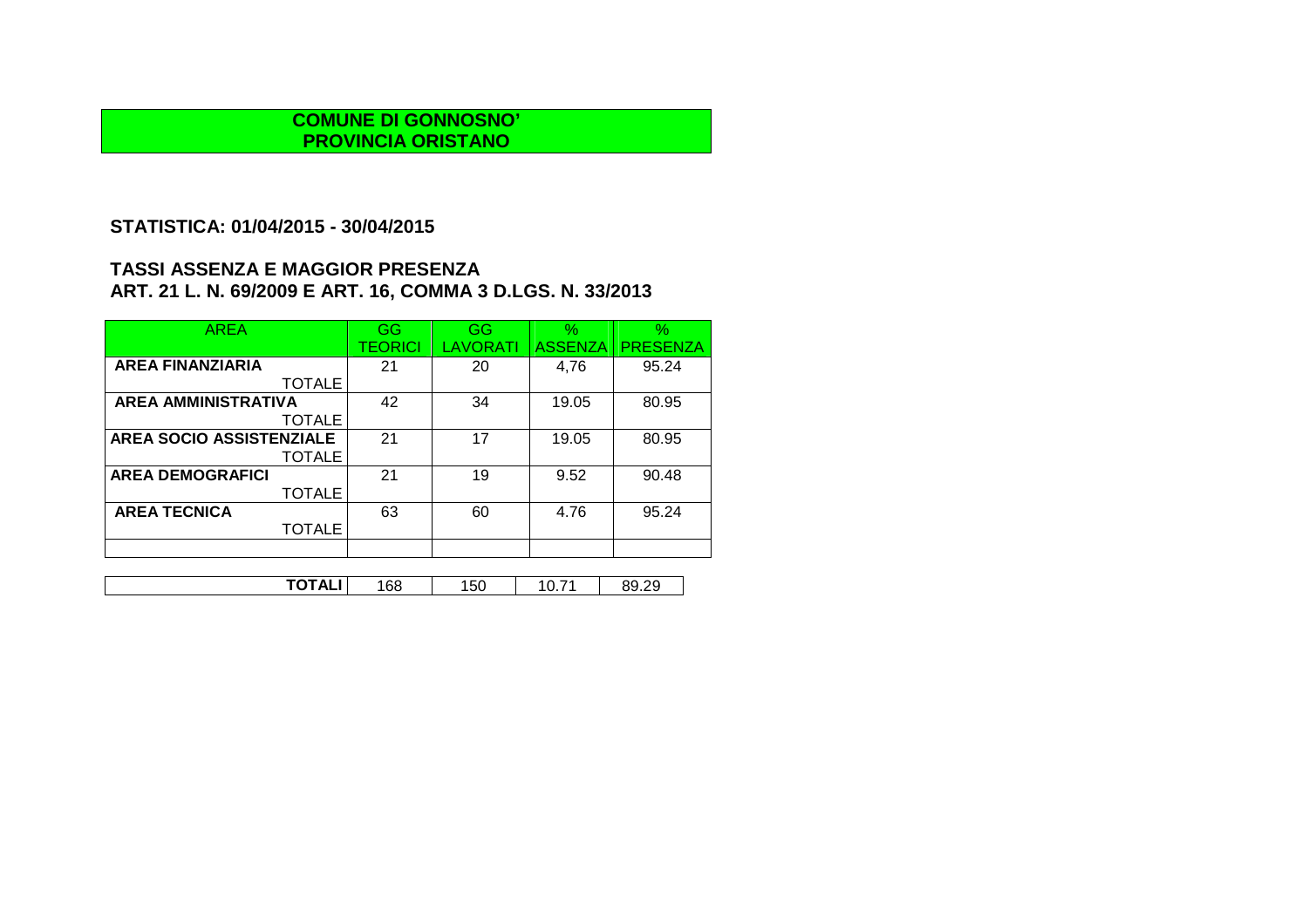## **STATISTICA: 01/04/2015 - 30/04/2015**

| AREA                            | GG             | GG       | $\%$           | %               |
|---------------------------------|----------------|----------|----------------|-----------------|
|                                 | <b>TEORICI</b> | LAVORATI | <b>ASSENZA</b> | <b>PRESENZA</b> |
| <b>AREA FINANZIARIA</b>         | 21             | 20       | 4,76           | 95.24           |
| <b>TOTALE</b>                   |                |          |                |                 |
| <b>AREA AMMINISTRATIVA</b>      | 42             | 34       | 19.05          | 80.95           |
| <b>TOTALE</b>                   |                |          |                |                 |
| <b>AREA SOCIO ASSISTENZIALE</b> | 21             | 17       | 19.05          | 80.95           |
| <b>TOTALE</b>                   |                |          |                |                 |
| <b>AREA DEMOGRAFICI</b>         | 21             | 19       | 9.52           | 90.48           |
| <b>TOTALE</b>                   |                |          |                |                 |
| <b>AREA TECNICA</b>             | 63             | 60       | 4.76           | 95.24           |
| <b>TOTALE</b>                   |                |          |                |                 |
|                                 |                |          |                |                 |

| - - -<br>-<br>$- -$<br>ົ<br>^'<br>. הר<br>.bb<br>vv<br>. .<br>. <del>.</del><br>- - | $\sim$<br>$\cdot$ . |
|-------------------------------------------------------------------------------------|---------------------|
|-------------------------------------------------------------------------------------|---------------------|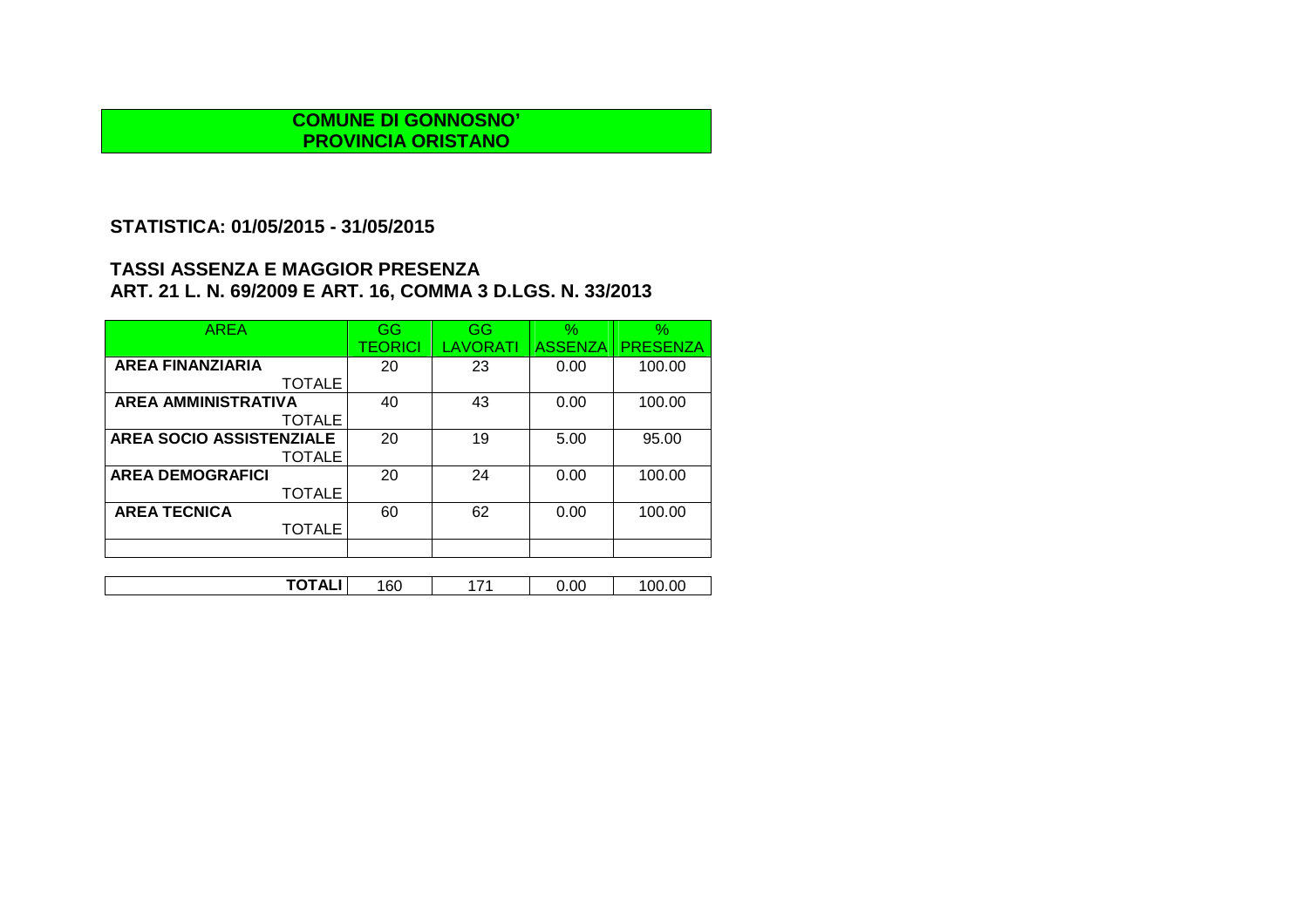# **STATISTICA: 01/05/2015 - 31/05/2015**

| <b>AREA</b>                     | GG             | GG              | $\%$           | $\%$            |
|---------------------------------|----------------|-----------------|----------------|-----------------|
|                                 | <b>TEORICI</b> | <b>LAVORATI</b> | <b>ASSENZA</b> | <b>PRESENZA</b> |
| <b>AREA FINANZIARIA</b>         | 20             | 23              | 0.00           | 100.00          |
| <b>TOTALE</b>                   |                |                 |                |                 |
| <b>AREA AMMINISTRATIVA</b>      | 40             | 43              | 0.00           | 100.00          |
| <b>TOTALE</b>                   |                |                 |                |                 |
| <b>AREA SOCIO ASSISTENZIALE</b> | 20             | 19              | 5.00           | 95.00           |
| <b>TOTALE</b>                   |                |                 |                |                 |
| <b>AREA DEMOGRAFICI</b>         | 20             | 24              | 0.00           | 100.00          |
| <b>TOTALE</b>                   |                |                 |                |                 |
| <b>AREA TECNICA</b>             | 60             | 62              | 0.00           | 100.00          |
| <b>TOTALE</b>                   |                |                 |                |                 |
|                                 |                |                 |                |                 |
|                                 |                |                 |                |                 |

| ------<br>160<br>. | 74 | 0.00 | 00.00 |
|--------------------|----|------|-------|
|--------------------|----|------|-------|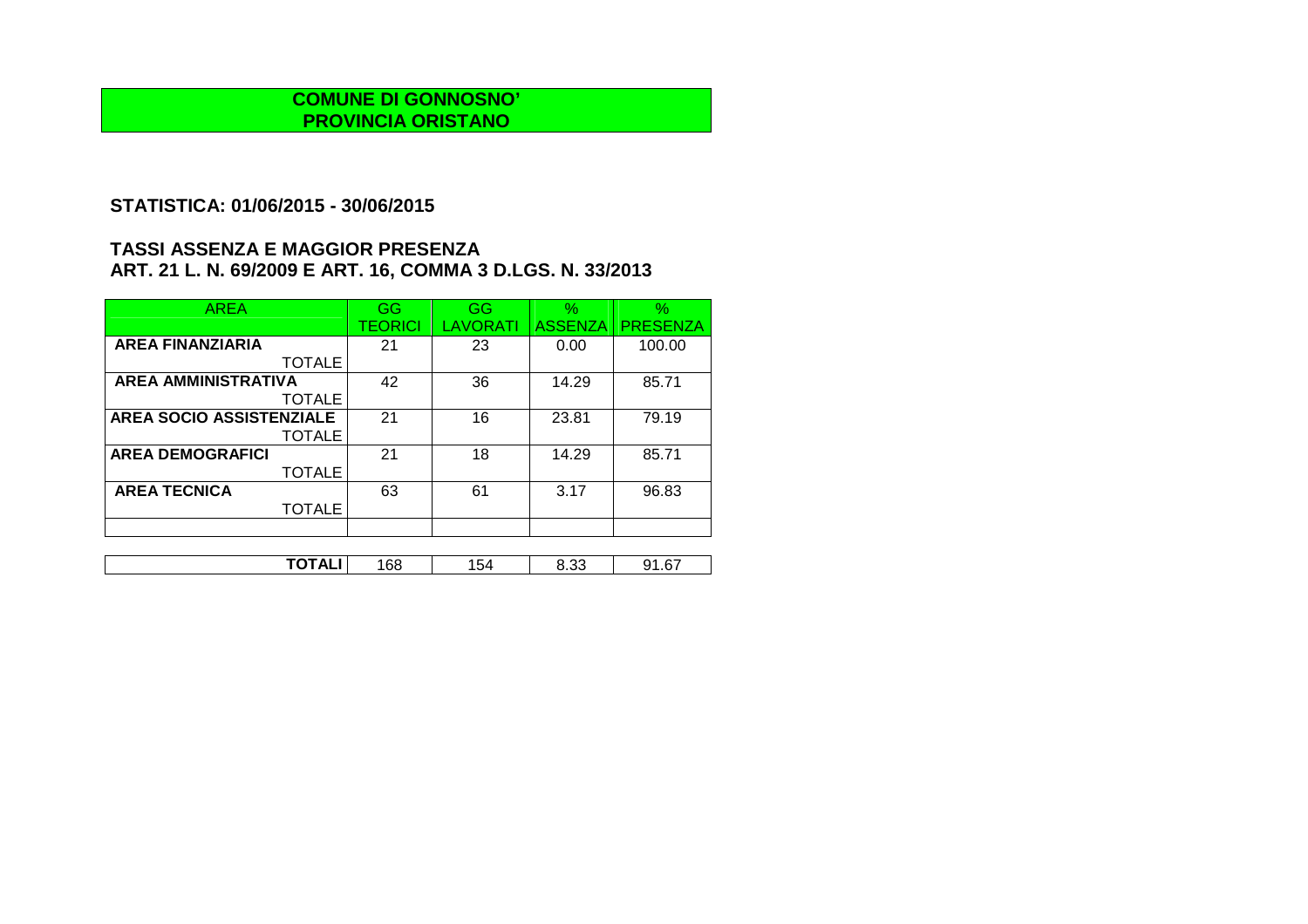## **STATISTICA: 01/06/2015 - 30/06/2015**

| <b>AREA</b>                     | GG             | GG       | $\frac{1}{2}$  | $\%$            |
|---------------------------------|----------------|----------|----------------|-----------------|
|                                 | <b>TEORICI</b> | LAVORATI | <b>ASSENZA</b> | <b>PRESENZA</b> |
| <b>AREA FINANZIARIA</b>         | 21             | 23       | 0.00           | 100.00          |
| <b>TOTALE</b>                   |                |          |                |                 |
| <b>AREA AMMINISTRATIVA</b>      | 42             | 36       | 14.29          | 85.71           |
| <b>TOTALE</b>                   |                |          |                |                 |
| <b>AREA SOCIO ASSISTENZIALE</b> | 21             | 16       | 23.81          | 79.19           |
| <b>TOTALE</b>                   |                |          |                |                 |
| <b>AREA DEMOGRAFICI</b>         | 21             | 18       | 14.29          | 85.71           |
| <b>TOTALE</b>                   |                |          |                |                 |
| <b>AREA TECNICA</b>             | 63             | 61       | 3.17           | 96.83           |
| <b>TOTALE</b>                   |                |          |                |                 |
|                                 |                |          |                |                 |

| -----<br>$\overline{\phantom{0}}$<br>--<br>. .<br><br>''<br>54<br>oo<br>∍ ب<br>J.JJ<br>19171 |  |  |  |
|----------------------------------------------------------------------------------------------|--|--|--|
|                                                                                              |  |  |  |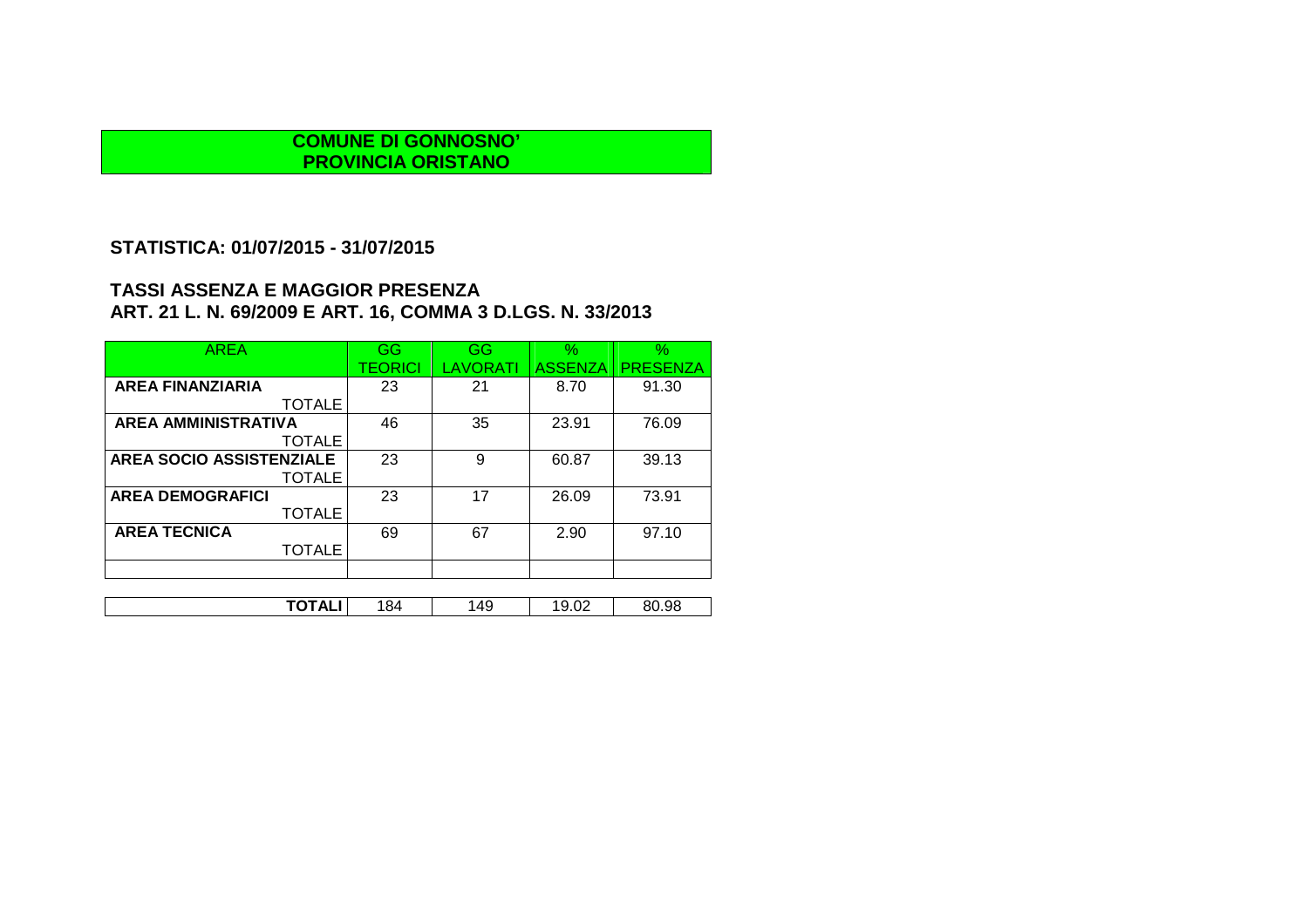# **STATISTICA: 01/07/2015 - 31/07/2015**

| <b>AREA</b>                     | GG      | <b>GG</b> | $\%$           | $\%$            |
|---------------------------------|---------|-----------|----------------|-----------------|
|                                 | TEORICI | LAVORATI  | <b>ASSENZA</b> | <b>PRESENZA</b> |
| <b>AREA FINANZIARIA</b>         | 23      | 21        | 8.70           | 91.30           |
| <b>TOTALE</b>                   |         |           |                |                 |
| <b>AREA AMMINISTRATIVA</b>      | 46      | 35        | 23.91          | 76.09           |
| <b>TOTALE</b>                   |         |           |                |                 |
| <b>AREA SOCIO ASSISTENZIALE</b> | 23      | 9         | 60.87          | 39.13           |
| <b>TOTALE</b>                   |         |           |                |                 |
| <b>AREA DEMOGRAFICI</b>         | 23      | 17        | 26.09          | 73.91           |
| <b>TOTALE</b>                   |         |           |                |                 |
| <b>AREA TECNICA</b>             | 69      | 67        | 2.90           | 97.10           |
| <b>TOTALE</b>                   |         |           |                |                 |
|                                 |         |           |                |                 |
|                                 |         |           |                |                 |
| TOTALI                          | 184     | 149       | 19.02          | 80.98           |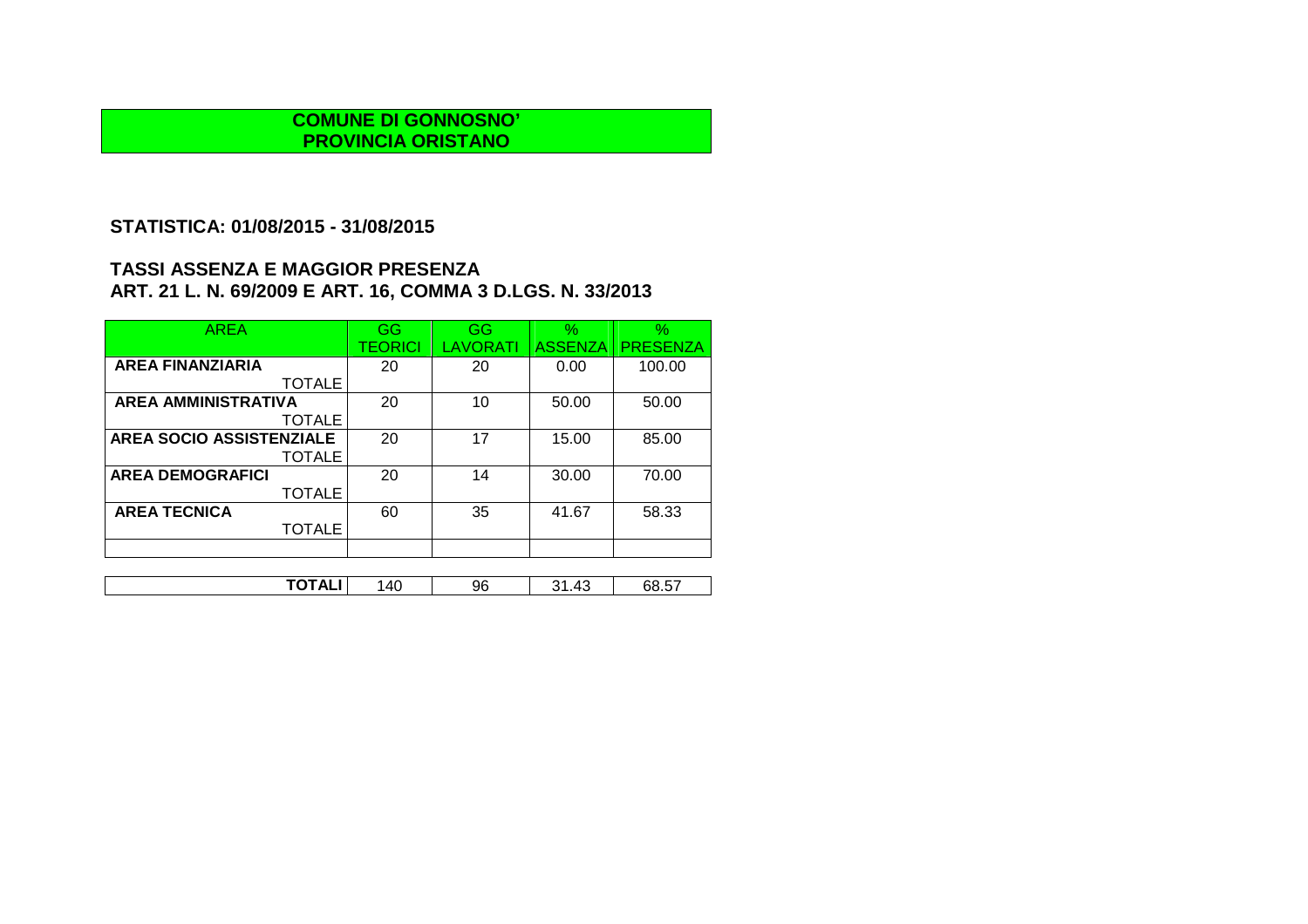# **STATISTICA: 01/08/2015 - 31/08/2015**

| <b>AREA</b>                | GG      | GG              | $\%$           | $\%$            |
|----------------------------|---------|-----------------|----------------|-----------------|
|                            | TEORICI | <b>LAVORATI</b> | <b>ASSENZA</b> | <b>PRESENZA</b> |
| <b>AREA FINANZIARIA</b>    | 20      | 20              | 0.00           | 100.00          |
| <b>TOTALE</b>              |         |                 |                |                 |
| <b>AREA AMMINISTRATIVA</b> | 20      | 10              | 50.00          | 50.00           |
| <b>TOTALE</b>              |         |                 |                |                 |
| AREA SOCIO ASSISTENZIALE   | 20      | 17              | 15.00          | 85.00           |
| <b>TOTALE</b>              |         |                 |                |                 |
| <b>AREA DEMOGRAFICI</b>    | 20      | 14              | 30.00          | 70.00           |
| <b>TOTALE</b>              |         |                 |                |                 |
| <b>AREA TECNICA</b>        | 60      | 35              | 41.67          | 58.33           |
| <b>TOTALE</b>              |         |                 |                |                 |
|                            |         |                 |                |                 |
|                            |         |                 |                |                 |

| ------<br>$- -$<br>96<br>יי ב<br>'40<br>. ט. כ<br>∼ |  |  |  |
|-----------------------------------------------------|--|--|--|
|                                                     |  |  |  |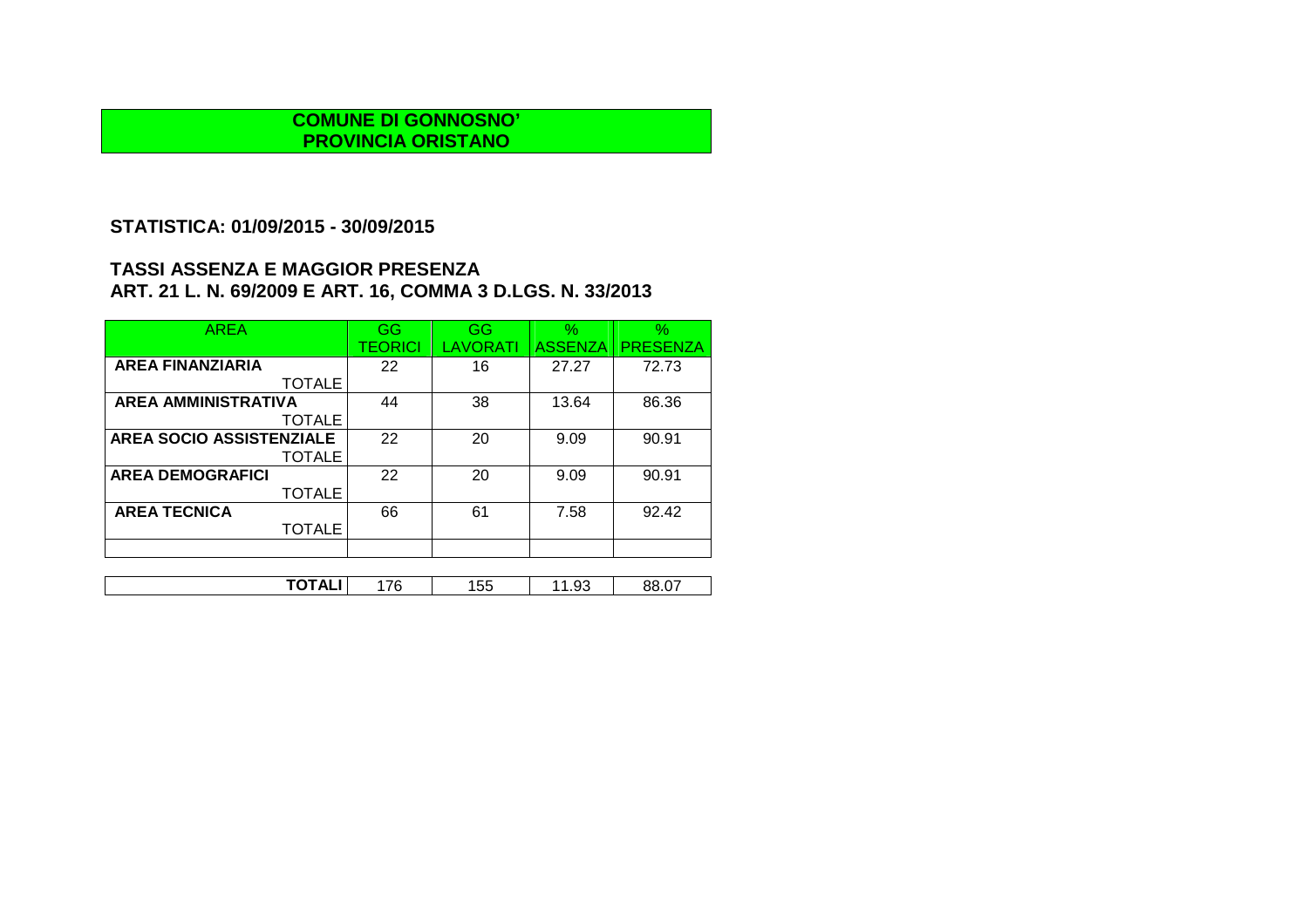## **STATISTICA: 01/09/2015 - 30/09/2015**

| <b>AREA</b>                     | GG      | GG              | $\%$           | $\%$            |
|---------------------------------|---------|-----------------|----------------|-----------------|
|                                 | TEORICI | <b>LAVORATI</b> | <b>ASSENZA</b> | <b>PRESENZA</b> |
| <b>AREA FINANZIARIA</b>         | 22      | 16              | 27.27          | 72.73           |
| <b>TOTALE</b>                   |         |                 |                |                 |
| <b>AREA AMMINISTRATIVA</b>      | 44      | 38              | 13.64          | 86.36           |
| <b>TOTALE</b>                   |         |                 |                |                 |
| <b>AREA SOCIO ASSISTENZIALE</b> | 22      | 20              | 9.09           | 90.91           |
| <b>TOTALE</b>                   |         |                 |                |                 |
| <b>AREA DEMOGRAFICI</b>         | 22      | 20              | 9.09           | 90.91           |
| <b>TOTALE</b>                   |         |                 |                |                 |
| <b>AREA TECNICA</b>             | 66      | 61              | 7.58           | 92.42           |
| <b>TOTALE</b>                   |         |                 |                |                 |
|                                 |         |                 |                |                 |
|                                 |         |                 |                |                 |

| ------<br>$\sim$<br>76<br>55<br>-<br>JO.<br>11 AL.<br>◡<br>วo.u.<br>ں ت. ا<br>ັ |
|---------------------------------------------------------------------------------|
|---------------------------------------------------------------------------------|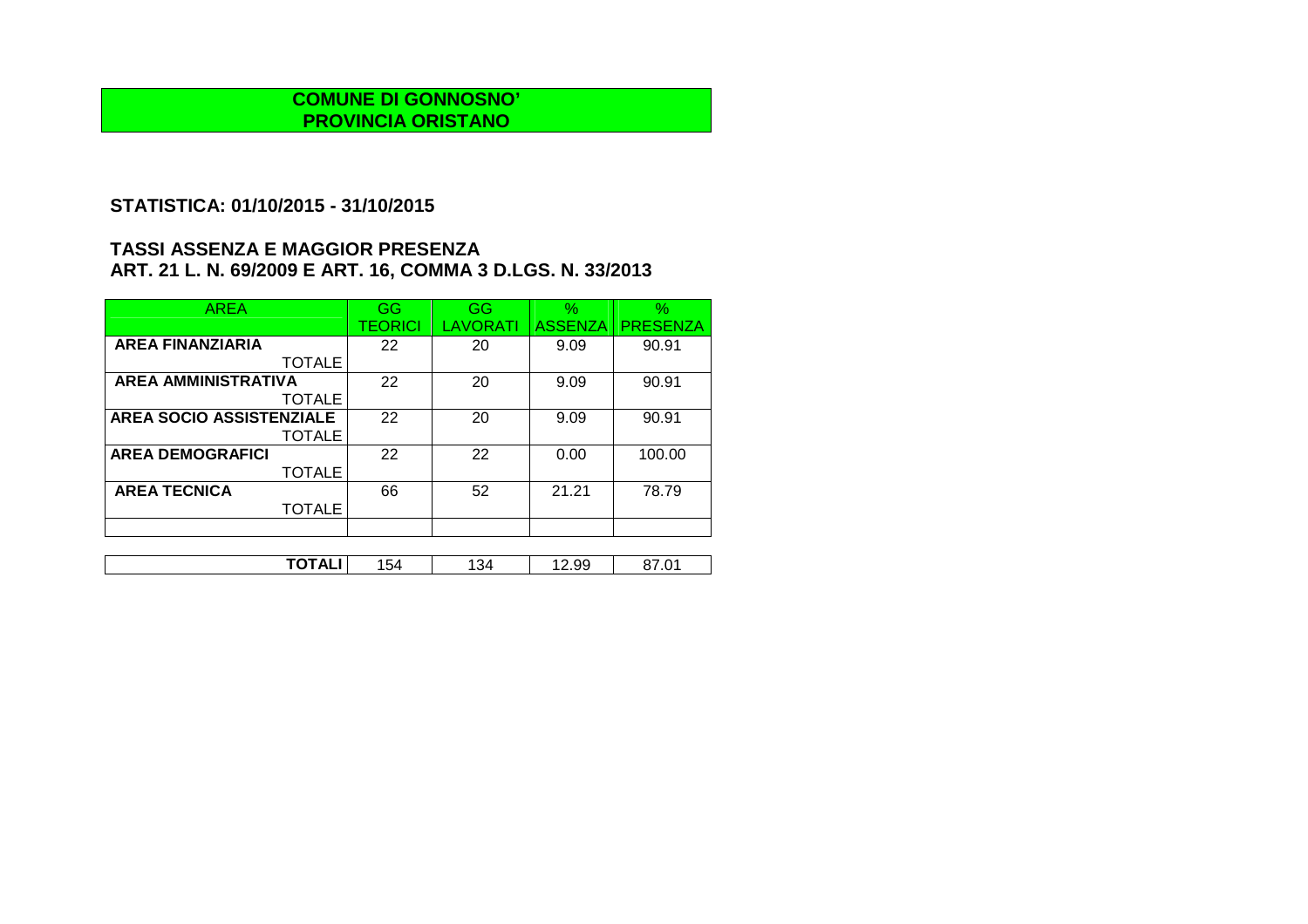# **STATISTICA: 01/10/2015 - 31/10/2015**

| <b>AREA</b>                     | GG      | GG       | $\%$           | $\%$            |
|---------------------------------|---------|----------|----------------|-----------------|
|                                 | TEORICI | LAVORATI | <b>ASSENZA</b> | <b>PRESENZA</b> |
| <b>AREA FINANZIARIA</b>         | 22      | 20       | 9.09           | 90.91           |
| <b>TOTALE</b>                   |         |          |                |                 |
| <b>AREA AMMINISTRATIVA</b>      | 22      | 20       | 9.09           | 90.91           |
| <b>TOTALE</b>                   |         |          |                |                 |
| <b>AREA SOCIO ASSISTENZIALE</b> | 22      | 20       | 9.09           | 90.91           |
| <b>TOTALE</b>                   |         |          |                |                 |
| <b>AREA DEMOGRAFICI</b>         | 22      | 22       | 0.00           | 100.00          |
| <b>TOTALE</b>                   |         |          |                |                 |
| <b>AREA TECNICA</b>             | 66      | 52       | 21.21          | 78.79           |
| <b>TOTALE</b>                   |         |          |                |                 |
|                                 |         |          |                |                 |

| .<br>---<br>∼<br><u>.</u> | ' 54 | - 34 | . .<br>ں … | ں. |
|---------------------------|------|------|------------|----|
|                           |      |      |            |    |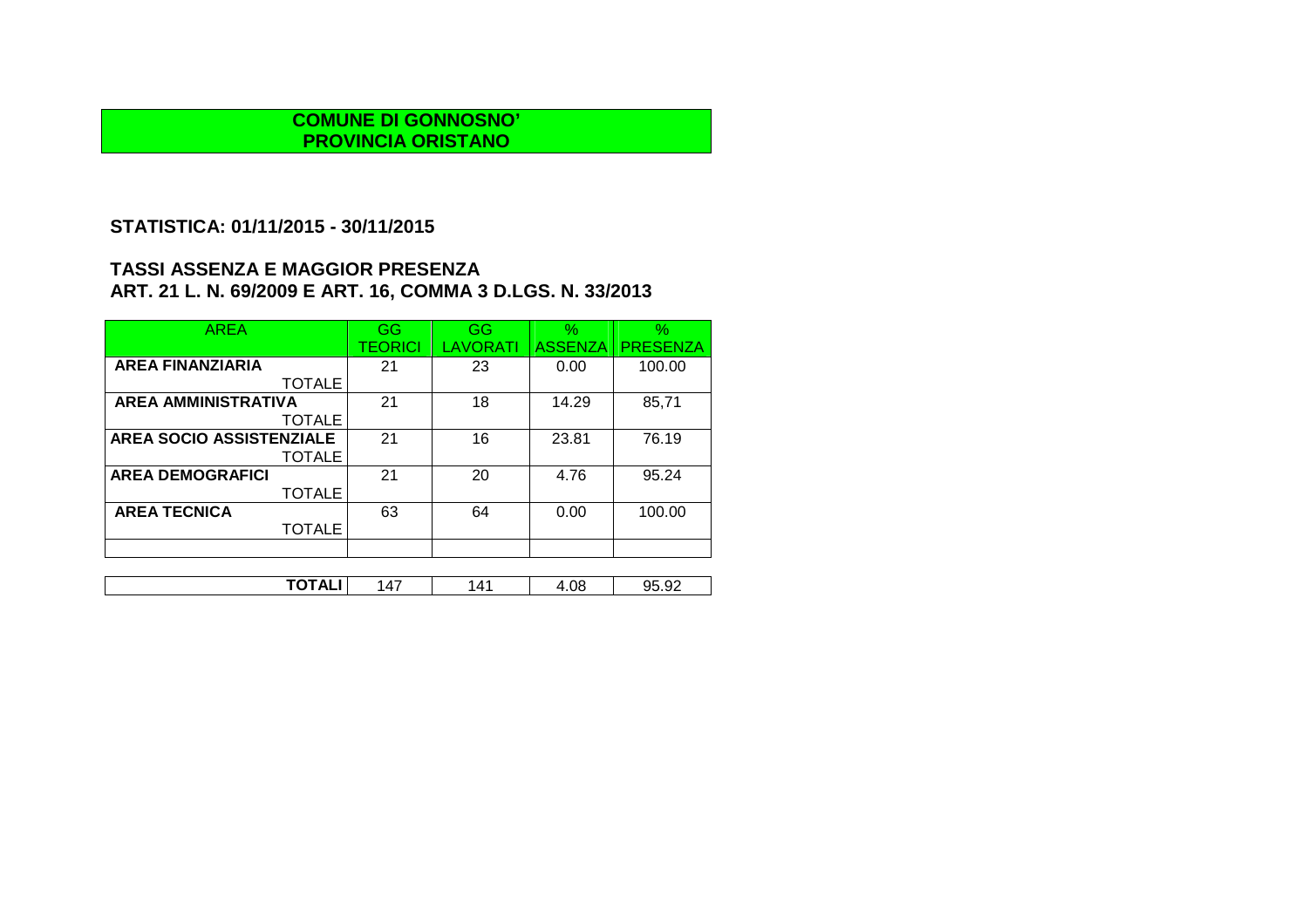# **STATISTICA: 01/11/2015 - 30/11/2015**

| <b>AREA</b>                     | GG             | GG       | $\%$           | $\%$            |
|---------------------------------|----------------|----------|----------------|-----------------|
|                                 | <b>TEORICI</b> | LAVORATI | <b>ASSENZA</b> | <b>PRESENZA</b> |
| <b>AREA FINANZIARIA</b>         | 21             | 23       | 0.00           | 100.00          |
| <b>TOTALE</b>                   |                |          |                |                 |
| <b>AREA AMMINISTRATIVA</b>      | 21             | 18       | 14.29          | 85,71           |
| <b>TOTALE</b>                   |                |          |                |                 |
| <b>AREA SOCIO ASSISTENZIALE</b> | 21             | 16       | 23.81          | 76.19           |
| <b>TOTALE</b>                   |                |          |                |                 |
| <b>AREA DEMOGRAFICI</b>         | 21             | 20       | 4.76           | 95.24           |
| <b>TOTALE</b>                   |                |          |                |                 |
| <b>AREA TECNICA</b>             | 63             | 64       | 0.00           | 100.00          |
| <b>TOTALE</b>                   |                |          |                |                 |
|                                 |                |          |                |                 |
|                                 |                |          |                |                 |

| _ _ _ _<br>íЛ<br>_ | 4′، | $\sim$<br>1.OY<br>Δ | $\sim$<br>ገሬ<br>∼<br>∠ت. ت |
|--------------------|-----|---------------------|----------------------------|
|--------------------|-----|---------------------|----------------------------|